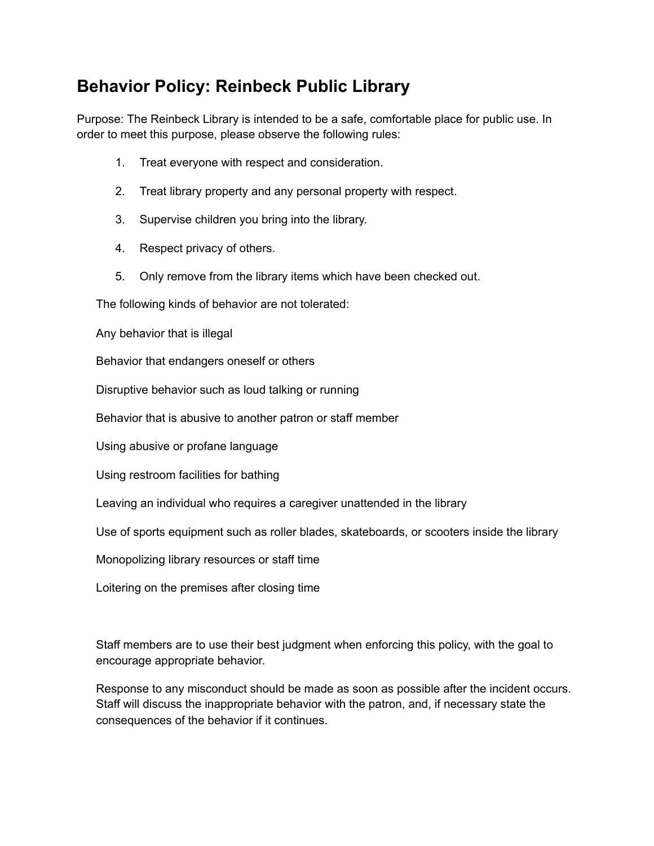## **Behavior Policy: Reinbeck Public Library**

Purpose: The Reinbeck Library is intended to be a safe, comfortable place for public use. In order to meet this purpose, please observe the following rules:

- 1. Treat everyone with respect and consideration.
- 2. Treat library property and any personal property with respect.
- 3. Supervise children you bring into the library.
- 4. Respect privacy of others.
- 5. Only remove from the library items which have been checked out.

The following kinds of behavior are not tolerated:

Any behavior that is illegal

Behavior that endangers oneself or others

Disruptive behavior such as loud talking or running

Behavior that is abusive to another patron or staff member

Using abusive or profane language

Using restroom facilities for bathing

Leaving an individual who requires a caregiver unattended in the library

Use of sports equipment such as roller blades, skateboards, or scooters inside the library

Monopolizing library resources or staff time

Loitering on the premises after closing time

Staff members are to use their best judgment when enforcing this policy, with the goal to encourage appropriate behavior.

Response to any misconduct should be made as soon as possible after the incident occurs. Staff will discuss the inappropriate behavior with the patron, and, if necessary state the consequences of the behavior if it continues.